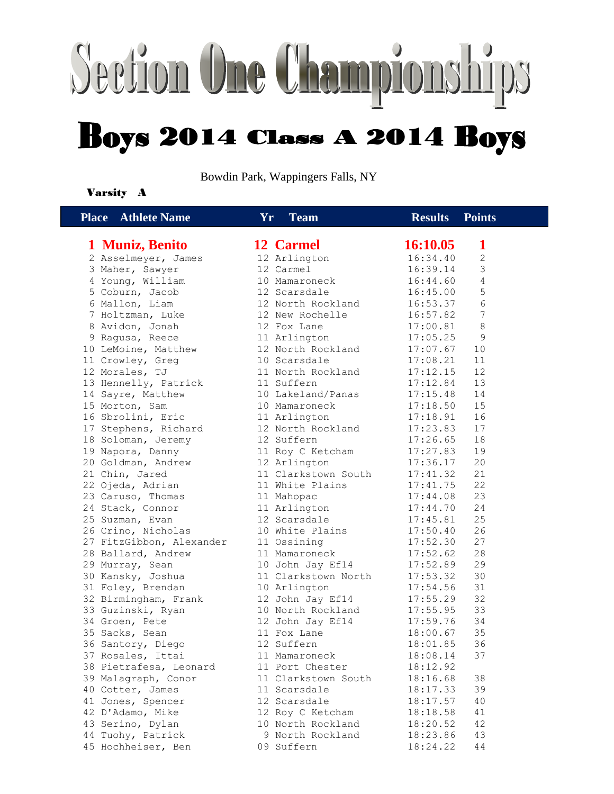## Section One Championships **Boys 2014 Class A 2014 Boys**

Bowdin Park, Wappingers Falls, NY

#### Varsity A

| <b>Place</b> Athlete Name           | Yr.<br><b>Team</b>        | <b>Results</b> Points |                 |
|-------------------------------------|---------------------------|-----------------------|-----------------|
| 1 Muniz, Benito                     | 12 Carmel                 | 16:10.05              | 1               |
|                                     |                           | 16:34.40              | 2               |
| 2 Asselmeyer, James                 | 12 Arlington<br>12 Carmel | 16:39.14              | 3               |
| 3 Maher, Sawyer                     | 10 Mamaroneck             | 16:44.60              | 4               |
| 4 Young, William<br>5 Coburn, Jacob | 12 Scarsdale              | 16:45.00              | 5               |
| 6 Mallon, Liam                      | 12 North Rockland         | 16:53.37              | 6               |
|                                     | 12 New Rochelle           |                       | $7\phantom{.0}$ |
| 7 Holtzman, Luke<br>8 Avidon, Jonah | 12 Fox Lane               | 16:57.82<br>17:00.81  | 8               |
| 9 Ragusa, Reece                     | 11 Arlington              | 17:05.25              | $\mathcal{G}$   |
| 10 LeMoine, Matthew                 | 12 North Rockland         | 17:07.67              | 10              |
| 11 Crowley, Greg                    | 10 Scarsdale              | 17:08.21              | 11              |
| 12 Morales, TJ                      | 11 North Rockland         | 17:12.15              | 12              |
| 13 Hennelly, Patrick                | 11 Suffern                | 17:12.84              | 13              |
| 14 Sayre, Matthew                   | 10 Lakeland/Panas         | 17:15.48              | 14              |
| 15 Morton, Sam                      | 10 Mamaroneck             | 17:18.50              | 15              |
| 16 Sbrolini, Eric                   | 11 Arlington              | 17:18.91              | 16              |
| 17 Stephens, Richard                | 12 North Rockland         | 17:23.83              | 17              |
| 18 Soloman, Jeremy                  | 12 Suffern                | 17:26.65              | 18              |
| 19 Napora, Danny                    | 11 Roy C Ketcham          | 17:27.83              | 19              |
| 20 Goldman, Andrew                  | 12 Arlington              | 17:36.17              | 20              |
| 21 Chin, Jared                      | 11 Clarkstown South       | 17:41.32              | 21              |
| 22 Ojeda, Adrian                    | 11 White Plains           | 17:41.75              | 22              |
| 23 Caruso, Thomas                   | 11 Mahopac                | 17:44.08              | 23              |
| 24 Stack, Connor                    | 11 Arlington              | 17:44.70              | 24              |
| 25 Suzman, Evan                     | 12 Scarsdale              | 17:45.81              | 25              |
| 26 Crino, Nicholas                  | 10 White Plains           | 17:50.40              | 26              |
| 27 FitzGibbon, Alexander            | 11 Ossining               | 17:52.30              | 27              |
| 28 Ballard, Andrew                  | 11 Mamaroneck             | 17:52.62              | 28              |
| 29 Murray, Sean                     | 10 John Jay Ef14          | 17:52.89              | 29              |
| 30 Kansky, Joshua                   | 11 Clarkstown North       | 17:53.32              | 30              |
| 31 Foley, Brendan                   | 10 Arlington              | 17:54.56              | 31              |
| 32 Birmingham, Frank                | 12 John Jay Ef14          | 17:55.29              | 32              |
| 33 Guzinski, Ryan                   | 10 North Rockland         | 17:55.95              | 33              |
| 34 Groen, Pete                      | 12 John Jay Ef14          | 17:59.76              | 34              |
| 35 Sacks, Sean                      | 11 Fox Lane               | 18:00.67              | 35              |
| 36 Santory, Diego                   | 12 Suffern                | 18:01.85              | 36              |
| 37 Rosales, Ittai                   | 11 Mamaroneck             | 18:08.14              | 37              |
| 38 Pietrafesa, Leonard              | 11 Port Chester           | 18:12.92              |                 |
| 39 Malagraph, Conor                 | 11 Clarkstown South       | 18:16.68              | 38              |
| 40 Cotter, James                    | 11 Scarsdale              | 18:17.33              | 39              |
| 41 Jones, Spencer                   | 12 Scarsdale              | 18:17.57              | 40              |
| 42 D'Adamo, Mike                    | 12 Roy C Ketcham          | 18:18.58              | 41              |
| 43 Serino, Dylan                    | 10 North Rockland         | 18:20.52              | 42              |
| 44 Tuohy, Patrick                   | 9 North Rockland          | 18:23.86              | 43              |
| 45 Hochheiser, Ben                  | 09 Suffern                | 18:24.22              | 44              |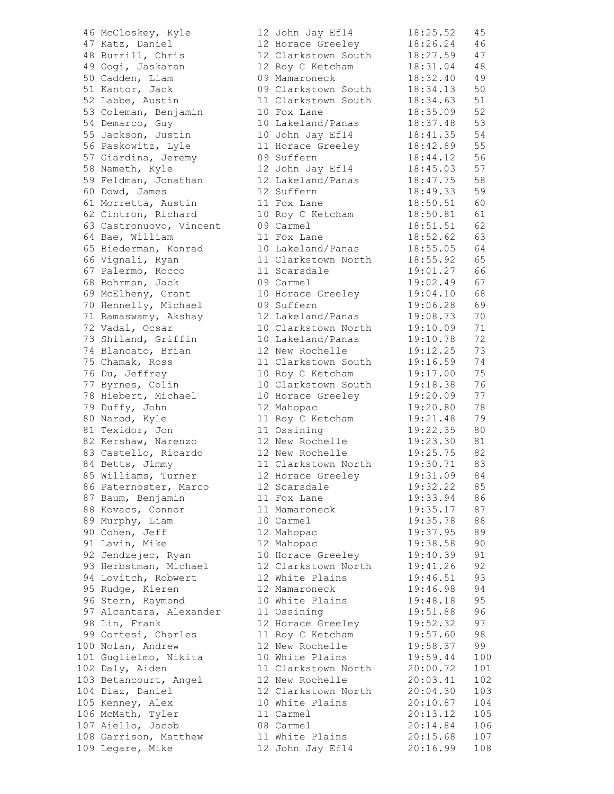| 46 McCloskey, Kyle      | 12 John Jay Ef14             | 18:25.52 | 45  |
|-------------------------|------------------------------|----------|-----|
| 47 Katz, Daniel         | 12 Horace Greeley            | 18:26.24 | 46  |
| 48 Burrill, Chris       | 12 Clarkstown South          | 18:27.59 | 47  |
| 49 Gogi, Jaskaran       | 12 Roy C Ketcham             | 18:31.04 | 48  |
| 50 Cadden, Liam         | 09 Mamaroneck                | 18:32.40 | 49  |
| 51 Kantor, Jack         | 09 Clarkstown South          | 18:34.13 | 50  |
| 52 Labbe, Austin        | 11 Clarkstown South          | 18:34.63 | 51  |
| 53 Coleman, Benjamin    | 10 Fox Lane                  | 18:35.09 | 52  |
| 54 Demarco, Guy         | 10 Lakeland/Panas            | 18:37.48 | 53  |
| 55 Jackson, Justin      | 10 John Jay Ef14             | 18:41.35 | 54  |
| 56 Paskowitz, Lyle      |                              |          | 55  |
|                         | 11 Horace Greeley            | 18:42.89 |     |
| 57 Giardina, Jeremy     | 09 Suffern                   | 18:44.12 | 56  |
| 58 Nameth, Kyle         | 12 John Jay Ef14             | 18:45.03 | 57  |
| 59 Feldman, Jonathan    | 12 Lakeland/Panas            | 18:47.75 | 58  |
| 60 Dowd, James          | 12 Suffern                   | 18:49.33 | 59  |
| 61 Morretta, Austin     | 11 Fox Lane                  | 18:50.51 | 60  |
| 62 Cintron, Richard     | 10 Roy C Ketcham             | 18:50.81 | 61  |
| 63 Castronuovo, Vincent | 09 Carmel                    | 18:51.51 | 62  |
| 64 Bae, William         | 11 Fox Lane                  | 18:52.62 | 63  |
| 65 Biederman, Konrad    | 10 Lakeland/Panas            | 18:55.05 | 64  |
| 66 Vignali, Ryan        | 11 Clarkstown North          | 18:55.92 | 65  |
| 67 Palermo, Rocco       | 11 Scarsdale                 | 19:01.27 | 66  |
| 68 Bohrman, Jack        | 09 Carmel                    | 19:02.49 | 67  |
| 69 McElheny, Grant      | 10 Horace Greeley            | 19:04.10 | 68  |
| 70 Hennelly, Michael    | 09 Suffern                   | 19:06.28 | 69  |
| 71 Ramaswamy, Akshay    | 12 Lakeland/Panas            | 19:08.73 | 70  |
| 72 Vadal, Ocsar         | 10 Clarkstown North          | 19:10.09 | 71  |
| 73 Shiland, Griffin     | 10 Lakeland/Panas            | 19:10.78 | 72  |
| 74 Blancato, Brian      | 12 New Rochelle              | 19:12.25 | 73  |
| 75 Chamak, Ross         | 11 Clarkstown South          | 19:16.59 | 74  |
| 76 Du, Jeffrey          | 10 Roy C Ketcham             | 19:17.00 | 75  |
| 77 Byrnes, Colin        | 10 Clarkstown South          | 19:18.38 | 76  |
| 78 Hiebert, Michael     | 10 Horace Greeley            | 19:20.09 | 77  |
| 79 Duffy, John          | 12 Mahopac                   | 19:20.80 | 78  |
|                         |                              | 19:21.48 | 79  |
| 80 Narod, Kyle          | 11 Roy C Ketcham             | 19:22.35 | 80  |
| 81 Texidor, Jon         | 11 Ossining                  |          |     |
| 82 Kershaw, Narenzo     | 12 New Rochelle              | 19:23.30 | 81  |
| 83 Castello, Ricardo    | 12 New Rochelle              | 19:25.75 | 82  |
| 84 Betts, Jimmy         | 11 Clarkstown North          | 19:30.71 | 83  |
| 85 Williams, Turner     | 12 Horace Greeley            | 19:31.09 | 84  |
| 86 Paternoster, Marco   | 12 Scarsdale                 | 19:32.22 | 85  |
| 87 Baum, Benjamin       | 11 Fox Lane                  | 19:33.94 | 86  |
| 88 Kovacs, Connor       | 11 Mamaroneck                | 19:35.17 | 87  |
| 89 Murphy, Liam         | 10 Carmel                    | 19:35.78 | 88  |
| 90 Cohen, Jeff          | 12 Mahopac                   | 19:37.95 | 89  |
| 91 Lavin, Mike          | 12 Mahopac                   | 19:38.58 | 90  |
| 92 Jendzejec, Ryan      | 10 Horace Greeley            | 19:40.39 | 91  |
| 93 Herbstman, Michael   | 12 Clarkstown North          | 19:41.26 | 92  |
| 94 Lovitch, Robwert     | 12 White Plains              | 19:46.51 | 93  |
| 95 Rudge, Kieren        | 12 Mamaroneck                | 19:46.98 | 94  |
| 96 Stern, Raymond       | 10 White Plains              | 19:48.18 | 95  |
| 97 Alcantara, Alexander | 11 Ossining                  | 19:51.88 | 96  |
| 98 Lin, Frank           | 12 Horace Greeley            | 19:52.32 | 97  |
| 99 Cortesi, Charles     | 11 Roy C Ketcham             | 19:57.60 | 98  |
| 100 Nolan, Andrew       | 12 New Rochelle              | 19:58.37 | 99  |
| 101 Guglielmo, Nikita   | 10 White Plains              | 19:59.44 | 100 |
| 102 Daly, Aiden         | 11 Clarkstown North          | 20:00.72 | 101 |
| 103 Betancourt, Angel   | 12 New Rochelle              | 20:03.41 | 102 |
| 104 Diaz, Daniel        | 12 Clarkstown North 20:04.30 |          | 103 |
| 105 Kenney, Alex        | 10 White Plains              | 20:10.87 | 104 |
| 106 McMath, Tyler       | 11 Carmel                    | 20:13.12 | 105 |
| 107 Aiello, Jacob       | 08 Carmel                    | 20:14.84 | 106 |
| 108 Garrison, Matthew   | 11 White Plains              | 20:15.68 | 107 |
| 109 Legare, Mike        | 12 John Jay Ef14             | 20:16.99 | 108 |
|                         |                              |          |     |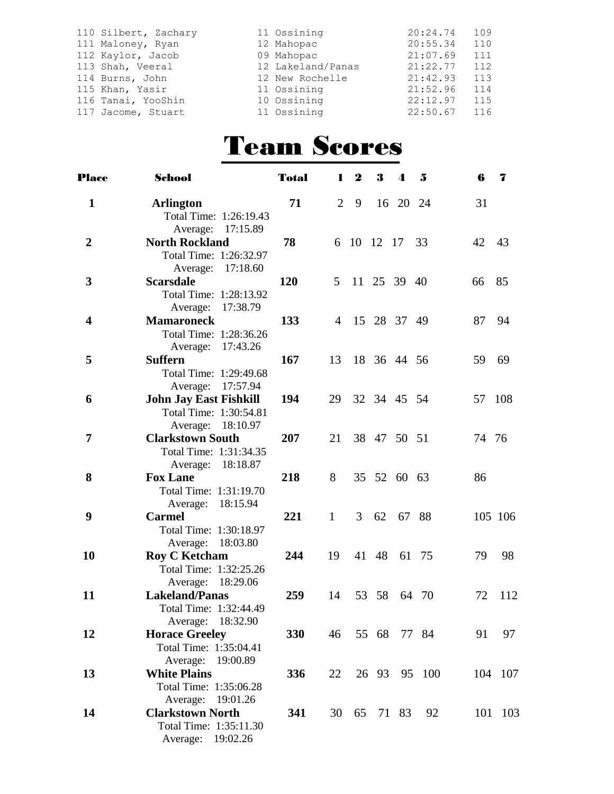| 110 Silbert, Zachary | 11 Ossining       | 20:24.74 | 109 |
|----------------------|-------------------|----------|-----|
| 111 Maloney, Ryan    | 12 Mahopac        | 20:55.34 | 110 |
| 112 Kaylor, Jacob    | 09 Mahopac        | 21:07.69 | 111 |
| 113 Shah, Veeral     | 12 Lakeland/Panas | 21:22.77 | 112 |
| 114 Burns, John      | 12 New Rochelle   | 21:42.93 | 113 |
| 115 Khan, Yasir      | 11 Ossining       | 21:52.96 | 114 |
| 116 Tanai, YooShin   | 10 Ossining       | 22:12.97 | 115 |
| 117 Jacome, Stuart   | 11 Ossining       | 22:50.67 | 116 |

### Team Scores

| <b>Place</b>            | School                        | <b>Total</b> | 1              | $\boldsymbol{2}$ | 3              | $\boldsymbol{4}$ | $\mathbf{5}$ | 6      | -7      |
|-------------------------|-------------------------------|--------------|----------------|------------------|----------------|------------------|--------------|--------|---------|
| $\mathbf{1}$            | <b>Arlington</b>              | 71           | 2              | 9                |                | 16 20 24         |              | 31     |         |
|                         | Total Time: 1:26:19.43        |              |                |                  |                |                  |              |        |         |
|                         | Average: 17:15.89             |              |                |                  |                |                  |              |        |         |
| $\overline{2}$          | <b>North Rockland</b>         | 78           |                |                  | 6 10 12 17 33  |                  |              | 42     | 43      |
|                         | Total Time: 1:26:32.97        |              |                |                  |                |                  |              |        |         |
|                         | Average: 17:18.60             |              |                |                  |                |                  |              |        |         |
| 3                       | <b>Scarsdale</b>              | <b>120</b>   | 5 <sup>5</sup> |                  | 11 25 39 40    |                  |              | 66     | 85      |
|                         | Total Time: 1:28:13.92        |              |                |                  |                |                  |              |        |         |
|                         | Average: 17:38.79             |              |                |                  |                |                  |              |        |         |
| $\overline{\mathbf{4}}$ | <b>Mamaroneck</b>             | 133          |                |                  | 4 15 28 37 49  |                  |              | 87     | 94      |
|                         | Total Time: 1:28:36.26        |              |                |                  |                |                  |              |        |         |
|                         | Average: 17:43.26             |              |                |                  |                |                  |              |        |         |
| 5                       | <b>Suffern</b>                | 167          |                |                  | 13 18 36 44 56 |                  |              | 59     | 69      |
|                         | Total Time: 1:29:49.68        |              |                |                  |                |                  |              |        |         |
|                         | Average: 17:57.94             |              |                |                  |                |                  |              |        |         |
| 6                       | <b>John Jay East Fishkill</b> | 194          | 29             |                  | 32 34 45 54    |                  |              | 57 108 |         |
|                         | Total Time: 1:30:54.81        |              |                |                  |                |                  |              |        |         |
|                         | Average: 18:10.97             |              |                |                  |                |                  |              |        |         |
| 7                       | <b>Clarkstown South</b>       | 207          | 21             |                  | 38 47 50 51    |                  |              | 74 76  |         |
|                         | Total Time: 1:31:34.35        |              |                |                  |                |                  |              |        |         |
|                         | Average: 18:18.87             |              |                |                  |                |                  |              |        |         |
| 8                       | <b>Fox Lane</b>               | 218          | 8              |                  | 35 52 60 63    |                  |              | 86     |         |
|                         | Total Time: 1:31:19.70        |              |                |                  |                |                  |              |        |         |
|                         | Average: 18:15.94             |              |                |                  |                |                  |              |        |         |
| 9                       | <b>Carmel</b>                 | 221          | $\mathbf{1}$   | 3 <sup>7</sup>   | 62             | 67 88            |              |        | 105 106 |
|                         | Total Time: 1:30:18.97        |              |                |                  |                |                  |              |        |         |
|                         | Average: 18:03.80             |              |                |                  |                |                  |              |        |         |
| 10                      | <b>Roy C Ketcham</b>          | 244          | 19             |                  | 41 48 61 75    |                  |              | 79     | 98      |
|                         | Total Time: 1:32:25.26        |              |                |                  |                |                  |              |        |         |
|                         | Average: 18:29.06             |              |                |                  |                |                  |              |        |         |
| 11                      | <b>Lakeland/Panas</b>         | 259          | 14             |                  | 53 58          |                  | 64 70        | 72     | 112     |
|                         | Total Time: 1:32:44.49        |              |                |                  |                |                  |              |        |         |
|                         | Average: 18:32.90             |              |                |                  |                |                  |              |        |         |
| 12                      | <b>Horace Greeley</b>         | 330          | 46             |                  | 55 68          |                  | 77 84        | 91     | 97      |
|                         | Total Time: 1:35:04.41        |              |                |                  |                |                  |              |        |         |
|                         | Average: 19:00.89             |              |                |                  |                |                  |              |        |         |
| 13                      | <b>White Plains</b>           | 336          | 22             |                  | 26 93          |                  | 95 100       |        | 104 107 |
|                         | Total Time: 1:35:06.28        |              |                |                  |                |                  |              |        |         |
|                         | Average: 19:01.26             |              |                |                  |                |                  |              |        |         |
| 14                      | <b>Clarkstown North</b>       | 341          |                |                  | 30 65 71 83    |                  | 92           |        | 101 103 |
|                         | Total Time: 1:35:11.30        |              |                |                  |                |                  |              |        |         |
|                         | Average: 19:02.26             |              |                |                  |                |                  |              |        |         |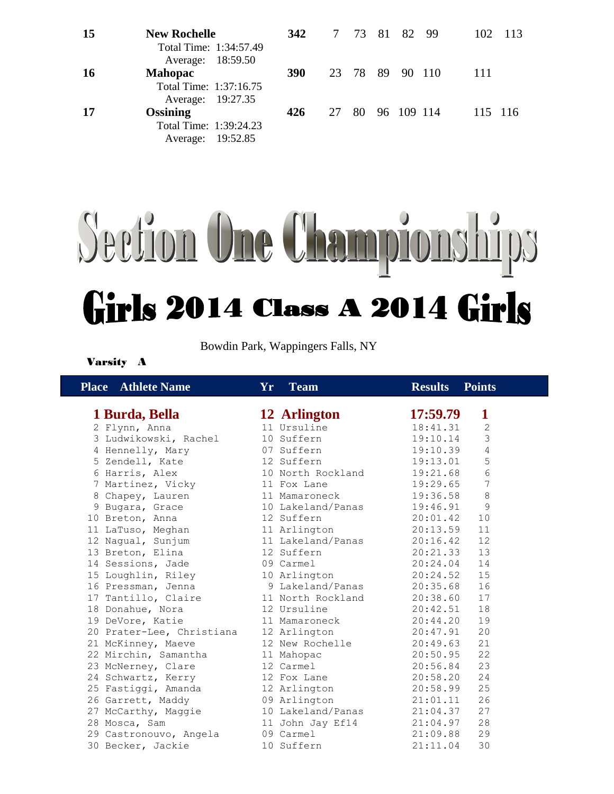| 15 | <b>New Rochelle</b><br>Total Time: 1:34:57.49                  | 342        |    |  | 7 73 81 82 99   |  | 102  | -113    |
|----|----------------------------------------------------------------|------------|----|--|-----------------|--|------|---------|
| 16 | Average: 18:59.50<br><b>Mahopac</b>                            | <b>390</b> |    |  | 23 78 89 90 110 |  | -111 |         |
| 17 | Total Time: 1:37:16.75<br>Average: 19:27.35<br><b>Ossining</b> | 426        | 27 |  | 80 96 109 114   |  |      | 115 116 |
|    | Total Time: 1:39:24.23<br>Average: 19:52.85                    |            |    |  |                 |  |      |         |

# Section One Championships Girls 2014 Class A 2014 Girls

Bowdin Park, Wappingers Falls, NY

#### Varsity A

| <b>Place</b> Athlete Name | <b>Team</b><br>Yr | <b>Results</b><br><b>Points</b> |
|---------------------------|-------------------|---------------------------------|
| 1 Burda, Bella            | 12 Arlington      | 17:59.79<br>1                   |
| 2 Flynn, Anna             | 11 Ursuline       | 18:41.31<br>$\mathbf{2}$        |
| 3 Ludwikowski, Rachel     | 10 Suffern        | 3<br>19:10.14                   |
| 4 Hennelly, Mary          | 07 Suffern        | 4<br>19:10.39                   |
| 5 Zendell, Kate           | 12 Suffern        | 5<br>19:13.01                   |
| 6 Harris, Alex            | 10 North Rockland | 6<br>19:21.68                   |
| 7 Martinez, Vicky         | 11 Fox Lane       | 19:29.65<br>7                   |
| 8 Chapey, Lauren          | 11 Mamaroneck     | 8<br>19:36.58                   |
| 9 Bugara, Grace           | 10 Lakeland/Panas | 9<br>19:46.91                   |
| 10 Breton, Anna           | 12 Suffern        | 20:01.42<br>10                  |
| 11 LaTuso, Meghan         | 11 Arlington      | 20:13.59<br>11                  |
| 12 Nagual, Sunjum         | 11 Lakeland/Panas | 20:16.42<br>12                  |
| 13 Breton, Elina          | 12 Suffern        | 13<br>20:21.33                  |
| 14 Sessions, Jade         | 09 Carmel         | 20:24.04<br>14                  |
| 15 Loughlin, Riley        | 10 Arlington      | 20:24.52<br>15                  |
| 16 Pressman, Jenna        | 9 Lakeland/Panas  | 20:35.68<br>16                  |
| 17 Tantillo, Claire       | 11 North Rockland | 20:38.60<br>17                  |
| 18 Donahue, Nora          | 12 Ursuline       | 20:42.51<br>18                  |
| 19 DeVore, Katie          | 11 Mamaroneck     | 19<br>20:44.20                  |
| 20 Prater-Lee, Christiana | 12 Arlington      | 20<br>20:47.91                  |
| 21 McKinney, Maeve        | 12 New Rochelle   | 21<br>20:49.63                  |
| 22 Mirchin, Samantha      | 11 Mahopac        | 22<br>20:50.95                  |
| 23 McNerney, Clare        | 12 Carmel         | 23<br>20:56.84                  |
| 24 Schwartz, Kerry        | 12 Fox Lane       | 24<br>20:58.20                  |
| 25 Fastiggi, Amanda       | 12 Arlington      | 25<br>20:58.99                  |
| 26 Garrett, Maddy         | 09 Arlington      | 26<br>21:01.11                  |
| 27 McCarthy, Maggie       | 10 Lakeland/Panas | 27<br>21:04.37                  |
| 28 Mosca, Sam             | 11 John Jay Ef14  | 28<br>21:04.97                  |
| 29 Castronouvo, Angela    | 09 Carmel         | 21:09.88<br>29                  |
| 30 Becker, Jackie         | 10 Suffern        | 30<br>21:11.04                  |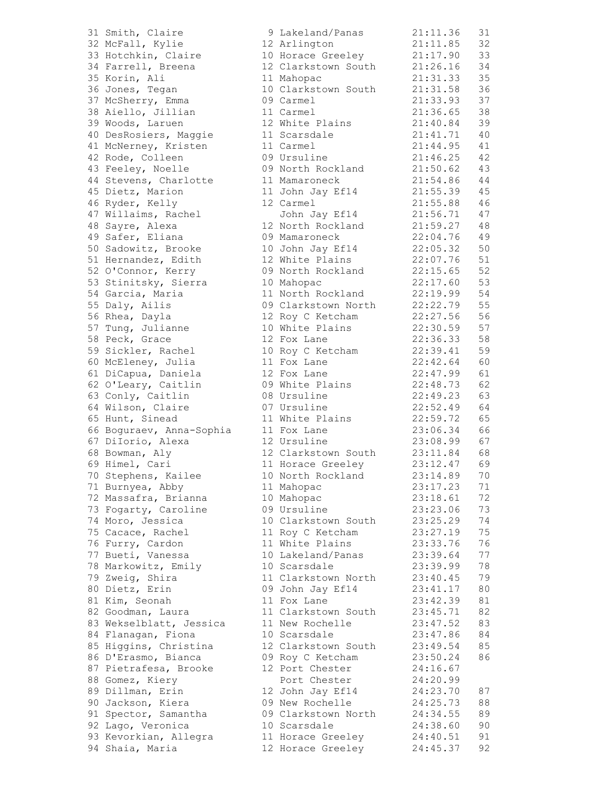| 31 Smith, Claire         | 9 Lakeland/Panas    | 21:11.36             | 31 |
|--------------------------|---------------------|----------------------|----|
| 32 McFall, Kylie         | 12 Arlington        | 21:11.85             | 32 |
| 33 Hotchkin, Claire      | 10 Horace Greeley   | 21:17.90             | 33 |
| 34 Farrell, Breena       | 12 Clarkstown South | 21:26.16             | 34 |
| 35 Korin, Ali            | 11 Mahopac          | 21:31.33             | 35 |
|                          | 10 Clarkstown South | 21:31.58             | 36 |
| 36 Jones, Tegan          |                     |                      |    |
| 37 McSherry, Emma        | 09 Carmel           | 21:33.93             | 37 |
| 38 Aiello, Jillian       | 11 Carmel           | 21:36.65             | 38 |
| 39 Woods, Laruen         | 12 White Plains     | 21:40.84             | 39 |
| 40 DesRosiers, Maggie    | 11 Scarsdale        | 21:41.71             | 40 |
| 41 McNerney, Kristen     | 11 Carmel           | 21:44.95             | 41 |
| 42 Rode, Colleen         | 09 Ursuline         | 21:46.25             | 42 |
| 43 Feeley, Noelle        | 09 North Rockland   | 21:50.62             | 43 |
| 44 Stevens, Charlotte    | 11 Mamaroneck       | 21:54.86             | 44 |
| 45 Dietz, Marion         | 11 John Jay Ef14    | 21:55.39             | 45 |
| 46 Ryder, Kelly          | 12 Carmel           | 21:55.88             | 46 |
| 47 Willaims, Rachel      | John Jay Ef14       | 21:56.71             | 47 |
| 48 Sayre, Alexa          | 12 North Rockland   | 21:59.27             | 48 |
| 49 Safer, Eliana         | 09 Mamaroneck       | 22:04.76             | 49 |
| 50 Sadowitz, Brooke      | 10 John Jay Ef14    | 22:05.32             | 50 |
| 51 Hernandez, Edith      | 12 White Plains     | 22:07.76             | 51 |
|                          | 09 North Rockland   |                      | 52 |
| 52 O'Connor, Kerry       |                     | 22:15.65<br>22:17.60 |    |
| 53 Stinitsky, Sierra     | 10 Mahopac          |                      | 53 |
| 54 Garcia, Maria         | 11 North Rockland   | 22:19.99             | 54 |
| 55 Daly, Ailis           | 09 Clarkstown North | 22:22.79             | 55 |
| 56 Rhea, Dayla           | 12 Roy C Ketcham    | 22:27.56             | 56 |
| 57 Tung, Julianne        | 10 White Plains     | 22:30.59             | 57 |
| 58 Peck, Grace           | 12 Fox Lane         | 22:36.33             | 58 |
| 59 Sickler, Rachel       | 10 Roy C Ketcham    | 22:39.41             | 59 |
| 60 McEleney, Julia       | 11 Fox Lane         | 22:42.64             | 60 |
| 61 DiCapua, Daniela      | 12 Fox Lane         | 22:47.99             | 61 |
| 62 O'Leary, Caitlin      | 09 White Plains     | 22:48.73             | 62 |
| 63 Conly, Caitlin        | 08 Ursuline         | 22:49.23             | 63 |
| 64 Wilson, Claire        | 07 Ursuline         | 22:52.49             | 64 |
| 65 Hunt, Sinead          | 11 White Plains     | 22:59.72             | 65 |
| 66 Boguraev, Anna-Sophia | 11 Fox Lane         | 23:06.34             | 66 |
|                          |                     |                      | 67 |
| 67 DiIorio, Alexa        | 12 Ursuline         | 23:08.99             |    |
| 68 Bowman, Aly           | 12 Clarkstown South | 23:11.84             | 68 |
| 69 Himel, Cari           | 11 Horace Greeley   | 23:12.47             | 69 |
| 70 Stephens, Kailee      | 10 North Rockland   | 23:14.89             | 70 |
| 71 Burnyea, Abby         | 11 Mahopac          | 23:17.23             | 71 |
| 72 Massafra, Brianna     | 10 Mahopac          | 23:18.61             | 72 |
| 73 Fogarty, Caroline     | 09 Ursuline         | 23:23.06             | 73 |
| 74 Moro, Jessica         | 10 Clarkstown South | 23:25.29             | 74 |
| 75 Cacace, Rachel        | 11 Roy C Ketcham    | 23:27.19             | 75 |
| 76 Furry, Cardon         | 11 White Plains     | 23:33.76             | 76 |
| 77 Bueti, Vanessa        | 10 Lakeland/Panas   | 23:39.64             | 77 |
| 78 Markowitz, Emily      | 10 Scarsdale        | 23:39.99             | 78 |
| 79 Zweig, Shira          | 11 Clarkstown North | 23:40.45             | 79 |
| 80 Dietz, Erin           | 09 John Jay Ef14    | 23:41.17             | 80 |
| 81 Kim, Seonah           | 11 Fox Lane         | 23:42.39             | 81 |
| 82 Goodman, Laura        | 11 Clarkstown South | 23:45.71             | 82 |
|                          |                     |                      |    |
| 83 Wekselblatt, Jessica  | 11 New Rochelle     | 23:47.52             | 83 |
| 84 Flanagan, Fiona       | 10 Scarsdale        | 23:47.86             | 84 |
| 85 Higgins, Christina    | 12 Clarkstown South | 23:49.54             | 85 |
| 86 D'Erasmo, Bianca      | 09 Roy C Ketcham    | 23:50.24             | 86 |
| 87 Pietrafesa, Brooke    | 12 Port Chester     | 24:16.67             |    |
| 88 Gomez, Kiery          | Port Chester        | 24:20.99             |    |
| 89 Dillman, Erin         | 12 John Jay Ef14    | 24:23.70             | 87 |
| 90 Jackson, Kiera        | 09 New Rochelle     | 24:25.73             | 88 |
| 91 Spector, Samantha     | 09 Clarkstown North | 24:34.55             | 89 |
| 92 Lago, Veronica        | 10 Scarsdale        | 24:38.60             | 90 |
| 93 Kevorkian, Allegra    | 11 Horace Greeley   | 24:40.51             | 91 |
| 94 Shaia, Maria          | 12 Horace Greeley   | 24:45.37             | 92 |
|                          |                     |                      |    |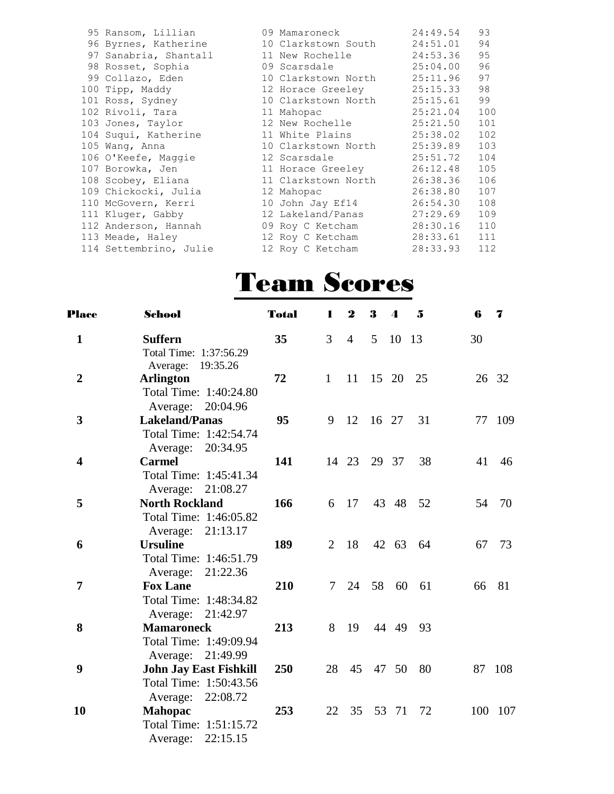| 95 Ransom, Lillian     | 09 Mamaroneck              | 24:49.54 | 93  |
|------------------------|----------------------------|----------|-----|
| 96 Byrnes, Katherine   | 10 Clarkstown South        | 24:51.01 | 94  |
| 97 Sanabria, Shantall  | 11 New Rochelle            | 24:53.36 | 95  |
| 98 Rosset, Sophia      | 25:04.00<br>09 Scarsdale   |          | 96  |
| 99 Collazo, Eden       | 10 Clarkstown North        | 25:11.96 | 97  |
| 100 Tipp, Maddy        | 12 Horace Greeley          | 25:15.33 | 98  |
| 101 Ross, Sydney       | 10 Clarkstown North        | 25:15.61 | 99  |
| 102 Rivoli, Tara       | 11 Mahopac                 | 25:21.04 | 100 |
| 103 Jones, Taylor      | 12 New Rochelle            | 25:21.50 | 101 |
| 104 Suqui, Katherine   | 11 White Plains            | 25:38.02 | 102 |
| 105 Wang, Anna         | 10 Clarkstown North        | 25:39.89 | 103 |
| 106 O'Keefe, Maqqie    | 12 Scarsdale and the Scars | 25:51.72 | 104 |
| 107 Borowka, Jen       | 11 Horace Greeley          | 26:12.48 | 105 |
| 108 Scobey, Eliana     | 11 Clarkstown North        | 26:38.36 | 106 |
| 109 Chickocki, Julia   | 12 Mahopac                 | 26:38.80 | 107 |
| 110 McGovern, Kerri    | 10 John Jay Ef14           | 26:54.30 | 108 |
| 111 Kluger, Gabby      | 12 Lakeland/Panas          | 27:29.69 | 109 |
| 112 Anderson, Hannah   | 09 Roy C Ketcham           | 28:30.16 | 110 |
| 113 Meade, Haley       | 12 Roy C Ketcham           | 28:33.61 | 111 |
| 114 Settembrino, Julie | 12 Roy C Ketcham           | 28:33.93 | 112 |
|                        |                            |          |     |

### Team Scores

| <b>Place</b>            | School                                         | <b>Total</b> | L            | $\boldsymbol{2}$ | 3        | $\boldsymbol{\Lambda}$ | $\overline{\mathbf{5}}$ | 6  | 7       |
|-------------------------|------------------------------------------------|--------------|--------------|------------------|----------|------------------------|-------------------------|----|---------|
| $\mathbf{1}$            | <b>Suffern</b>                                 | 35           | 3            | $\overline{4}$   | 5        | 10                     | 13                      | 30 |         |
|                         | Total Time: 1:37:56.29<br>Average:<br>19:35.26 |              |              |                  |          |                        |                         |    |         |
| $\overline{2}$          | <b>Arlington</b>                               | 72           | $\mathbf{1}$ | 11               | 15 20    |                        | 25                      |    | 26 32   |
|                         | Total Time: 1:40:24.80                         |              |              |                  |          |                        |                         |    |         |
|                         | Average: 20:04.96                              |              |              |                  |          |                        |                         |    |         |
| $\mathbf{3}$            | <b>Lakeland/Panas</b>                          | 95           | 9            | 12               | 16 27    |                        | 31                      |    | 77 109  |
|                         | Total Time: 1:42:54.74                         |              |              |                  |          |                        |                         |    |         |
|                         | Average: 20:34.95                              |              |              |                  |          |                        |                         |    |         |
| $\overline{\mathbf{4}}$ | <b>Carmel</b>                                  | 141          |              | 14 23            | 29 37    |                        | 38                      | 41 | 46      |
|                         | Total Time: 1:45:41.34                         |              |              |                  |          |                        |                         |    |         |
|                         | Average: 21:08.27                              |              |              |                  |          |                        |                         |    |         |
| 5                       | <b>North Rockland</b>                          | 166          | 6            | 17               |          | 43 48                  | 52                      | 54 | 70      |
|                         | Total Time: 1:46:05.82                         |              |              |                  |          |                        |                         |    |         |
|                         | Average: 21:13.17                              |              |              |                  |          |                        |                         |    |         |
| 6                       | <b>Ursuline</b>                                | 189          | 2            | 18               |          | 42 63                  | - 64                    | 67 | 73      |
|                         | Total Time: 1:46:51.79                         |              |              |                  |          |                        |                         |    |         |
|                         | Average: 21:22.36                              |              |              |                  |          |                        |                         |    |         |
| $\overline{7}$          | <b>Fox Lane</b>                                | 210          | 7            | 24               | 58       | 60                     | 61                      | 66 | 81      |
|                         | Total Time: 1:48:34.82                         |              |              |                  |          |                        |                         |    |         |
|                         | Average: 21:42.97                              |              |              |                  |          |                        |                         |    |         |
| 8                       | <b>Mamaroneck</b>                              | 213          | 8            | 19               |          | 44 49                  | 93                      |    |         |
|                         | Total Time: 1:49:09.94                         |              |              |                  |          |                        |                         |    |         |
|                         | Average: 21:49.99                              |              |              |                  |          |                        |                         |    |         |
| $\boldsymbol{9}$        | <b>John Jay East Fishkill</b>                  | 250          | 28           |                  | 45 47 50 |                        | 80                      |    | 87 108  |
|                         | Total Time: 1:50:43.56                         |              |              |                  |          |                        |                         |    |         |
|                         | 22:08.72<br>Average:                           |              |              |                  |          |                        |                         |    |         |
| 10                      | <b>Mahopac</b>                                 | 253          | 22           | 35               |          | 53 71                  | 72                      |    | 100 107 |
|                         | Total Time: 1:51:15.72                         |              |              |                  |          |                        |                         |    |         |
|                         | 22:15.15<br>Average:                           |              |              |                  |          |                        |                         |    |         |